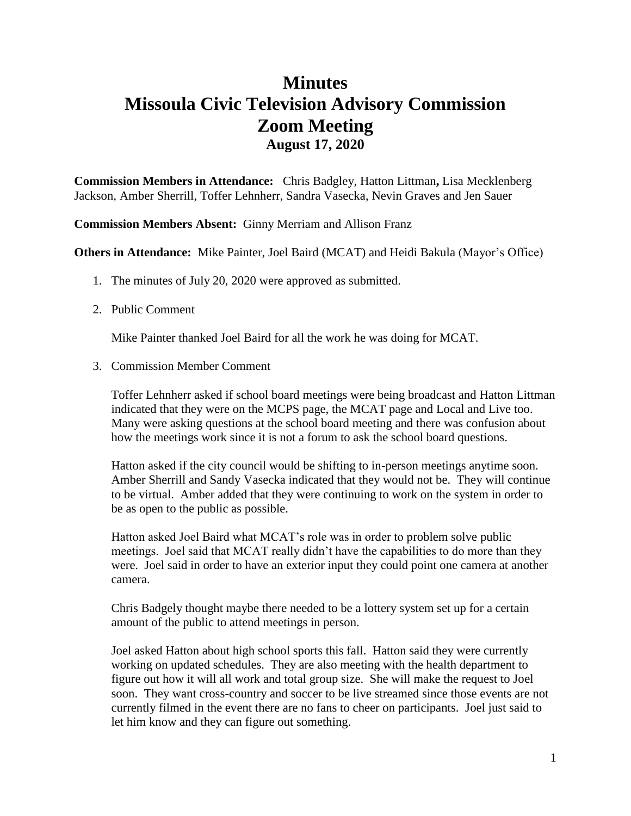## **Minutes Missoula Civic Television Advisory Commission Zoom Meeting August 17, 2020**

**Commission Members in Attendance:** Chris Badgley, Hatton Littman**,** Lisa Mecklenberg Jackson, Amber Sherrill, Toffer Lehnherr, Sandra Vasecka, Nevin Graves and Jen Sauer

**Commission Members Absent:** Ginny Merriam and Allison Franz

**Others in Attendance:** Mike Painter, Joel Baird (MCAT) and Heidi Bakula (Mayor's Office)

- 1. The minutes of July 20, 2020 were approved as submitted.
- 2. Public Comment

Mike Painter thanked Joel Baird for all the work he was doing for MCAT.

3. Commission Member Comment

Toffer Lehnherr asked if school board meetings were being broadcast and Hatton Littman indicated that they were on the MCPS page, the MCAT page and Local and Live too. Many were asking questions at the school board meeting and there was confusion about how the meetings work since it is not a forum to ask the school board questions.

Hatton asked if the city council would be shifting to in-person meetings anytime soon. Amber Sherrill and Sandy Vasecka indicated that they would not be. They will continue to be virtual. Amber added that they were continuing to work on the system in order to be as open to the public as possible.

Hatton asked Joel Baird what MCAT's role was in order to problem solve public meetings. Joel said that MCAT really didn't have the capabilities to do more than they were. Joel said in order to have an exterior input they could point one camera at another camera.

Chris Badgely thought maybe there needed to be a lottery system set up for a certain amount of the public to attend meetings in person.

Joel asked Hatton about high school sports this fall. Hatton said they were currently working on updated schedules. They are also meeting with the health department to figure out how it will all work and total group size. She will make the request to Joel soon. They want cross-country and soccer to be live streamed since those events are not currently filmed in the event there are no fans to cheer on participants. Joel just said to let him know and they can figure out something.